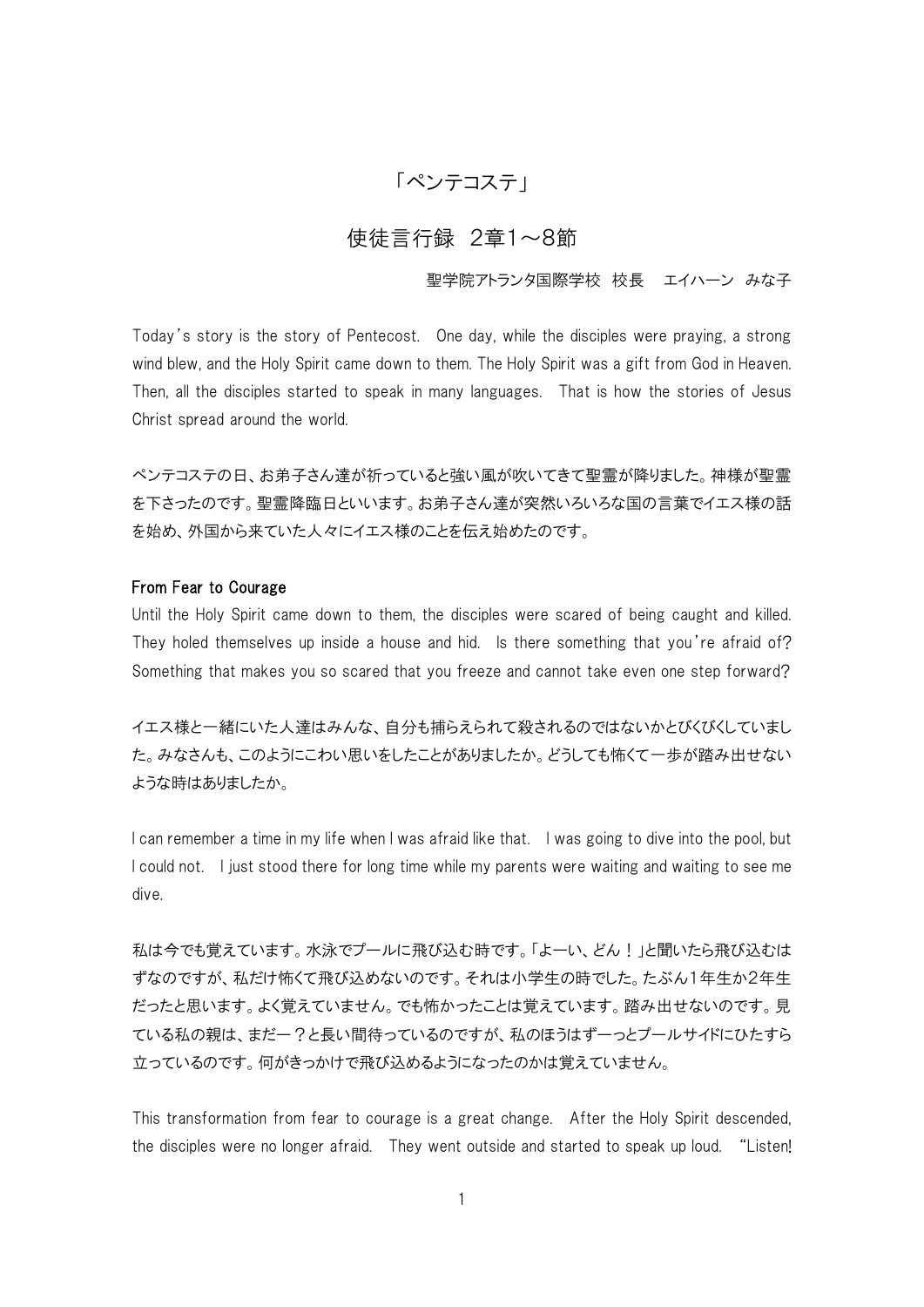# 「ペンテコステ」

## 使徒言行録 2章1~8節

#### 聖学院アトランタ国際学校 校長 エイハーン みな子

Today's story is the story of Pentecost. One day, while the disciples were praying, a strong wind blew, and the Holy Spirit came down to them. The Holy Spirit was a gift from God in Heaven. Then, all the disciples started to speak in many languages. That is how the stories of Jesus Christ spread around the world.

ペンテコステの日、お弟子さん達が祈っていると強い風が吹いてきて聖霊が降りました。神様が聖霊 を下さったのです。聖霊降臨日といいます。お弟子さん達が突然いろいろな国の言葉でイエス様の話 を始め、外国から来ていた人々にイエス様のことを伝え始めたのです。

#### From Fear to Courage

Until the Holy Spirit came down to them, the disciples were scared of being caught and killed. They holed themselves up inside a house and hid. Is there something that you're afraid of? Something that makes you so scared that you freeze and cannot take even one step forward?

イエス様と一緒にいた人達はみんな、自分も捕らえられて殺されるのではないかとびくびくしていまし た。みなさんも、このようにこわい思いをしたことがありましたか。どうしても怖くて一歩が踏み出せない ような時はありましたか。

I can remember a time in my life when I was afraid like that. I was going to dive into the pool, but I could not. I just stood there for long time while my parents were waiting and waiting to see me dive.

私は今でも覚えています。水泳でプールに飛び込む時です。「よーい、どん!」と聞いたら飛び込むは ずなのですが、私だけ怖くて飛び込めないのです。それは小学生の時でした。たぶん1年生か2年生 だったと思います。よく覚えていません。でも怖かったことは覚えています。踏み出せないのです。見 ている私の親は、まだー?と長い間待っているのですが、私のほうはずーっとプールサイドにひたすら 立っているのです。何がきっかけで飛び込めるようになったのかは覚えていません。

This transformation from fear to courage is a great change. After the Holy Spirit descended, the disciples were no longer afraid. They went outside and started to speak up loud. "Listen!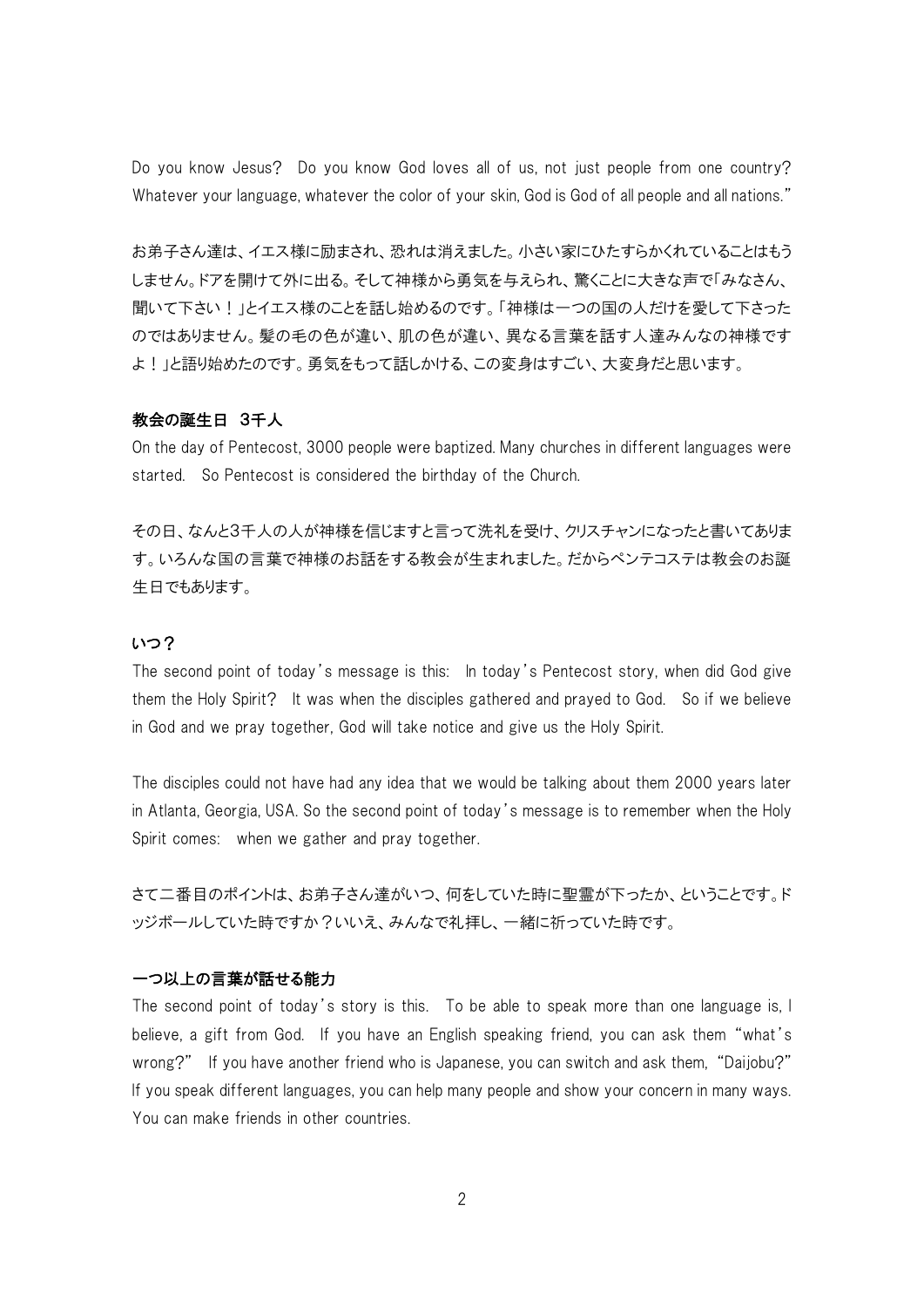Do you know Jesus? Do you know God loves all of us, not just people from one country? Whatever your language, whatever the color of your skin, God is God of all people and all nations."

お弟子さん達は、イエス様に励まされ、恐れは消えました。小さい家にひたすらかくれていることはもう しません。ドアを開けて外に出る。そして神様から勇気を与えられ、驚くことに大きな声で「みなさん、 聞いて下さい!」とイエス様のことを話し始めるのです。「神様は一つの国の人だけを愛して下さった のではありません。髪の毛の色が違い、肌の色が違い、異なる言葉を話す人達みんなの神様です よ!」と語り始めたのです。勇気をもって話しかける、この変身はすごい、大変身だと思います。

#### 教会の誕生日 3千人

On the day of Pentecost, 3000 people were baptized. Many churches in different languages were started. So Pentecost is considered the birthday of the Church.

その日、なんと3千人の人が神様を信じますと言って洗礼を受け、クリスチャンになったと書いてありま す。いろんな国の言葉で神様のお話をする教会が生まれました。だからペンテコステは教会のお誕 生日でもあります。

#### いつ?

The second point of today's message is this: In today's Pentecost story, when did God give them the Holy Spirit? It was when the disciples gathered and prayed to God. So if we believe in God and we pray together, God will take notice and give us the Holy Spirit.

The disciples could not have had any idea that we would be talking about them 2000 years later in Atlanta, Georgia, USA. So the second point of today's message is to remember when the Holy Spirit comes: when we gather and pray together.

さて二番目のポイントは、お弟子さん達がいつ、何をしていた時に聖霊が下ったか、ということです。ド ッジボールしていた時ですか?いいえ、みんなで礼拝し、一緒に祈っていた時です。

### 一つ以上の言葉が話せる能力

The second point of today's story is this. To be able to speak more than one language is, I believe, a gift from God. If you have an English speaking friend, you can ask them "what's wrong?" If you have another friend who is Japanese, you can switch and ask them, "Daijobu?" If you speak different languages, you can help many people and show your concern in many ways. You can make friends in other countries.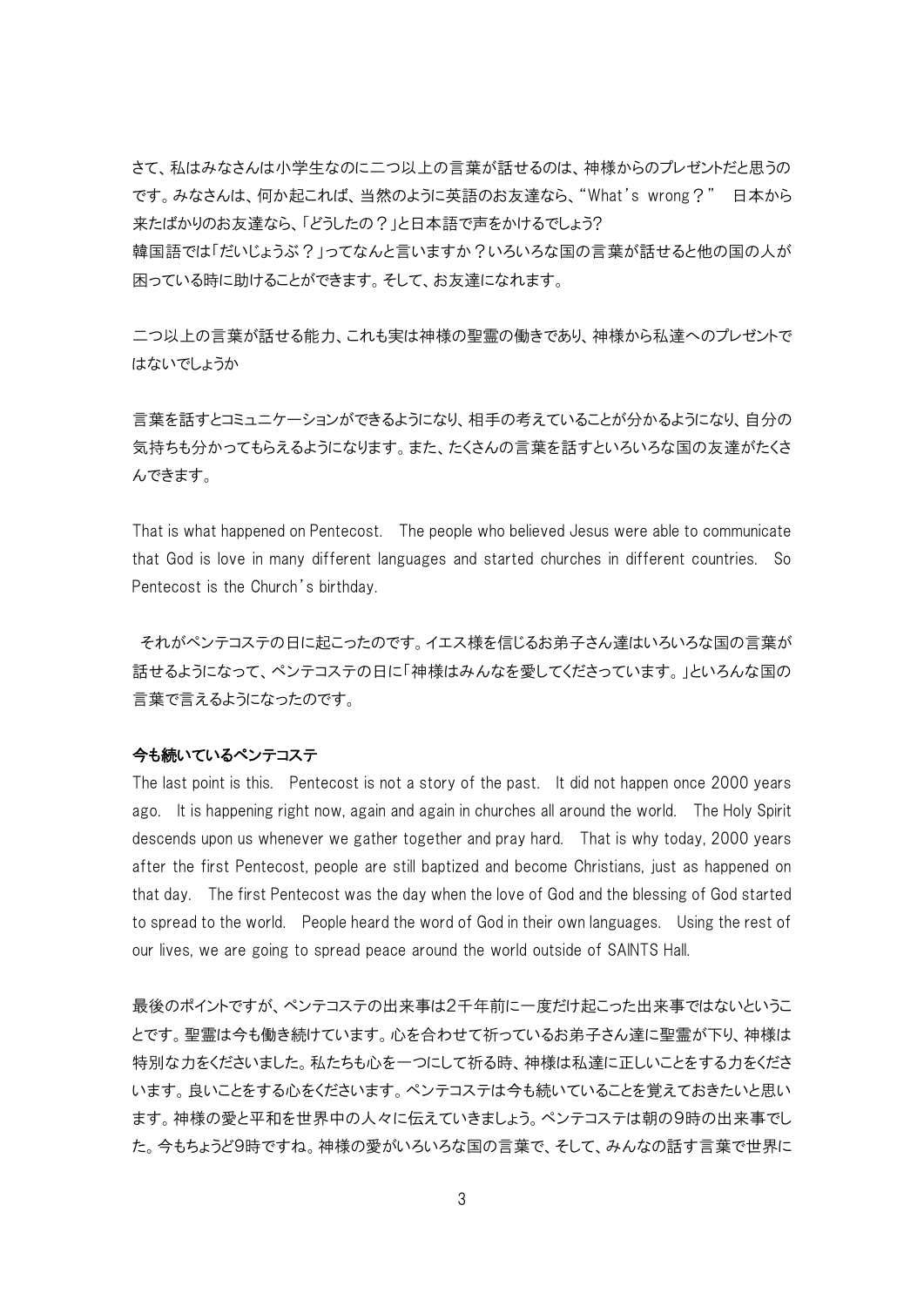さて、私はみなさんは小学生なのに二つ以上の言葉が話せるのは、神様からのプレゼントだと思うの です。みなさんは、何か起これば、当然のように英語のお友達なら、"What's wrong?" 日本から 来たばかりのお友達なら、「どうしたの?」と日本語で声をかけるでしょう?

韓国語では「だいじょうぶ?」ってなんと言いますか?いろいろな国の言葉が話せると他の国の人が 困っている時に助けることができます。そして、お友達になれます。

二つ以上の言葉が話せる能力、これも実は神様の聖霊の働きであり、神様から私達へのプレゼントで はないでしょうか

言葉を話すとコミュニケーションができるようになり、相手の考えていることが分かるようになり、自分の 気持ちも分かってもらえるようになります。また、たくさんの言葉を話すといろいろな国の友達がたくさ んできます。

That is what happened on Pentecost. The people who believed Jesus were able to communicate that God is love in many different languages and started churches in different countries. So Pentecost is the Church's birthday.

それがペンテコステの日に起こったのです。イエス様を信じるお弟子さん達はいろいろな国の言葉が 話せるようになって、ペンテコステの日に「神様はみんなを愛してくださっています。」といろんな国の 言葉で言えるようになったのです。

#### 今も続いているペンテコステ

The last point is this. Pentecost is not a story of the past. It did not happen once 2000 years ago. It is happening right now, again and again in churches all around the world. The Holy Spirit descends upon us whenever we gather together and pray hard. That is why today, 2000 years after the first Pentecost, people are still baptized and become Christians, just as happened on that day. The first Pentecost was the day when the love of God and the blessing of God started to spread to the world. People heard the word of God in their own languages. Using the rest of our lives, we are going to spread peace around the world outside of SAINTS Hall.

最後のポイントですが、ペンテコステの出来事は2千年前に一度だけ起こった出来事ではないというこ とです。聖霊は今も働き続けています。心を合わせて祈っているお弟子さん達に聖霊が下り、神様は 特別な力をくださいました。私たちも心を一つにして祈る時、神様は私達に正しいことをする力をくださ います。良いことをする心をくださいます。ペンテコステは今も続いていることを覚えておきたいと思い ます。神様の愛と平和を世界中の人々に伝えていきましょう。ペンテコステは朝の9時の出来事でし た。今もちょうど9時ですね。神様の愛がいろいろな国の言葉で、そして、みんなの話す言葉で世界に